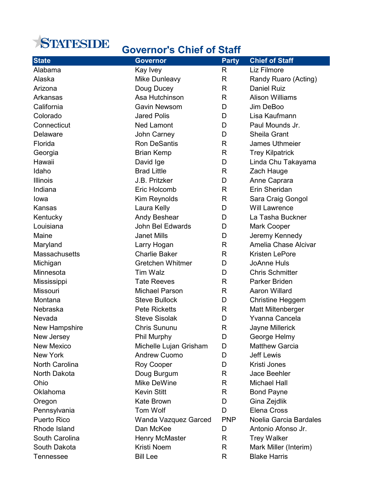

## Governor's Chief of Staff

| <b>State</b>       | <b>Governor</b>             | <b>Party</b> | <b>Chief of Staff</b>  |
|--------------------|-----------------------------|--------------|------------------------|
| Alabama            | Kay Ivey                    | R            | Liz Filmore            |
| Alaska             | <b>Mike Dunleavy</b>        | $\mathsf{R}$ | Randy Ruaro (Acting)   |
| Arizona            | Doug Ducey                  | R            | <b>Daniel Ruiz</b>     |
| Arkansas           | Asa Hutchinson              | R            | <b>Alison Williams</b> |
| California         | <b>Gavin Newsom</b>         | D            | Jim DeBoo              |
| Colorado           | <b>Jared Polis</b>          | D            | Lisa Kaufmann          |
| Connecticut        | <b>Ned Lamont</b>           | D            | Paul Mounds Jr.        |
| Delaware           | John Carney                 | D            | <b>Sheila Grant</b>    |
| Florida            | <b>Ron DeSantis</b>         | R            | <b>James Uthmeier</b>  |
| Georgia            | <b>Brian Kemp</b>           | R            | <b>Trey Kilpatrick</b> |
| Hawaii             | David Ige                   | D            | Linda Chu Takayama     |
| Idaho              | <b>Brad Little</b>          | R            | Zach Hauge             |
| <b>Illinois</b>    | J.B. Pritzker               | D            | Anne Caprara           |
| Indiana            | Eric Holcomb                | R            | Erin Sheridan          |
| lowa               | Kim Reynolds                | R            | Sara Craig Gongol      |
| Kansas             | Laura Kelly                 | D            | <b>Will Lawrence</b>   |
| Kentucky           | <b>Andy Beshear</b>         | D            | La Tasha Buckner       |
| Louisiana          | John Bel Edwards            | D            | <b>Mark Cooper</b>     |
| Maine              | <b>Janet Mills</b>          | D            | Jeremy Kennedy         |
| Maryland           | Larry Hogan                 | R            | Amelia Chase Alcivar   |
| Massachusetts      | <b>Charlie Baker</b>        | R            | <b>Kristen LePore</b>  |
| Michigan           | <b>Gretchen Whitmer</b>     | D            | <b>JoAnne Huls</b>     |
| Minnesota          | <b>Tim Walz</b>             | D            | <b>Chris Schmitter</b> |
| Mississippi        | <b>Tate Reeves</b>          | R            | Parker Briden          |
| Missouri           | <b>Michael Parson</b>       | R            | Aaron Willard          |
| Montana            | <b>Steve Bullock</b>        | D            | Christine Heggem       |
| Nebraska           | <b>Pete Ricketts</b>        | R            | Matt Miltenberger      |
| Nevada             | <b>Steve Sisolak</b>        | D            | Yvanna Cancela         |
| New Hampshire      | <b>Chris Sununu</b>         | $\mathsf{R}$ | Jayne Millerick        |
| New Jersey         | Phil Murphy                 | D            | George Helmy           |
| <b>New Mexico</b>  | Michelle Lujan Grisham      | D            | <b>Matthew Garcia</b>  |
| <b>New York</b>    | <b>Andrew Cuomo</b>         | D            | <b>Jeff Lewis</b>      |
| North Carolina     | Roy Cooper                  | D            | Kristi Jones           |
| North Dakota       | Doug Burgum                 | R.           | Jace Beehler           |
| Ohio               | Mike DeWine                 | R            | <b>Michael Hall</b>    |
| Oklahoma           | <b>Kevin Stitt</b>          | R            | <b>Bond Payne</b>      |
| Oregon             | Kate Brown                  | D            | Gina Zejdlik           |
| Pennsylvania       | Tom Wolf                    | D            | Elena Cross            |
| <b>Puerto Rico</b> | <b>Wanda Vazquez Garced</b> | <b>PNP</b>   | Noelia Garcia Bardales |
| Rhode Island       | Dan McKee                   | D            | Antonio Afonso Jr.     |
| South Carolina     | <b>Henry McMaster</b>       | R            | <b>Trey Walker</b>     |
| South Dakota       | Kristi Noem                 | R            | Mark Miller (Interim)  |
| <b>Tennessee</b>   | <b>Bill Lee</b>             | R            | <b>Blake Harris</b>    |